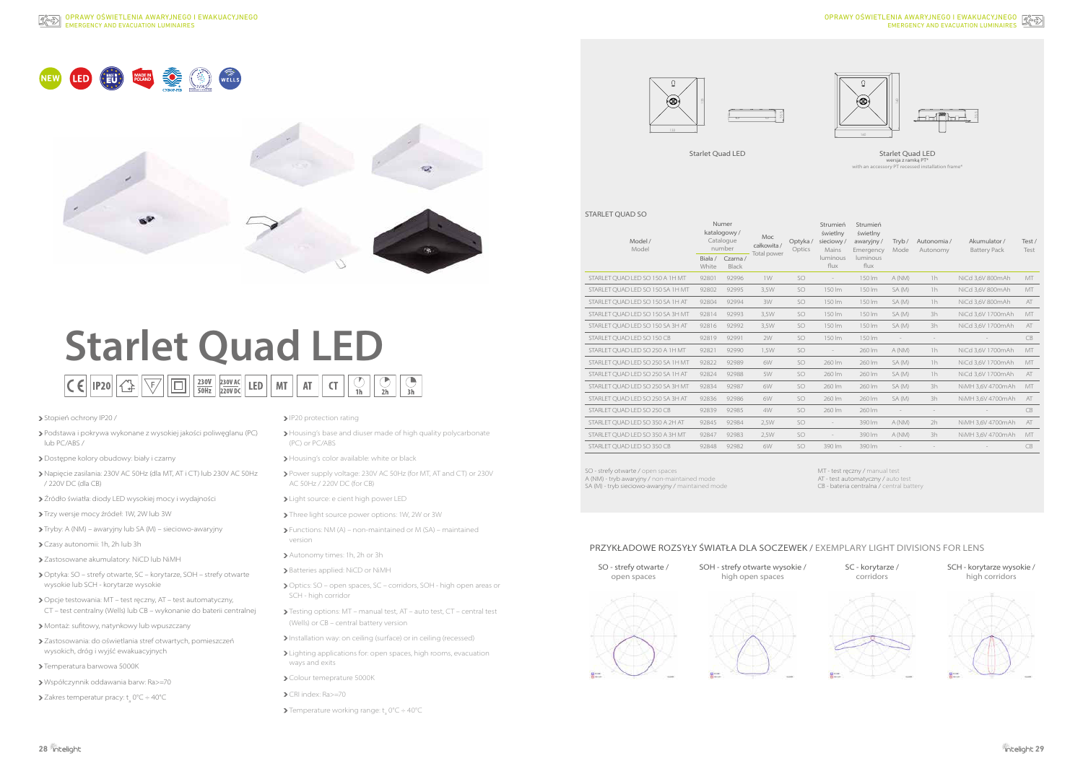# **Starlet Quad LED**  $\boxed{\mathsf{CE}}$   $\boxed{\mathsf{IP20}}$   $\boxed{\mathsf{CP}}$   $\boxed{\Box}$   $\boxed{\frac{230\mathsf{V}}{50\mathsf{Hz}}}$   $\boxed{\mathsf{220VBC}}$   $\boxed{\mathsf{LED}}$   $\boxed{\mathsf{MT}}$   $\boxed{\mathsf{AT}}$  $\bigcirc$ <sub>1h</sub>  $\overline{\mathsf{C}}$

- > Stopień ochrony IP20 /
- Podstawa i pokrywa wykonane z wysokiej jakości poliwęglanu (PC) lub PC/ABS /
- Dostępne kolory obudowy: biały i czarny
- Napięcie zasilania: 230V AC 50Hz (dla MT, AT i CT) lub 230V AC 50Hz / 220V DC (dla CB)
- Źródło światła: diody LED wysokiej mocy i wydajności
- Trzy wersje mocy źródeł: 1W, 2W lub 3W
- Tryby: A (NM) awaryjny lub SA (M) sieciowo-awaryjny
- Czasy autonomii: 1h, 2h lub 3h
- Zastosowane akumulatory: NiCD lub NiMH
- Optyka: SO strefy otwarte, SC korytarze, SOH strefy otwarte wysokie lub SCH - korytarze wysokie
- Opcje testowania: MT test ręczny, AT test automatyczny, CT – test centralny (Wells) lub CB – wykonanie do baterii centralnej
- Montaż: sufitowy, natynkowy lub wpuszczany
- Zastosowania: do oświetlania stref otwartych, pomieszczeń wysokich, dróg i wyjść ewakuacyjnych
- > Temperatura barwowa 5000K
- Współczynnik oddawania barw: Ra>=70
- Zakres temperatur pracy:  $t_a^{\circ}$  0°C  $\div$  40°C
- IP20 protection rating
- Housing's base and diuser made of high quality polycarbonate (PC) or PC/ABS
- > Housing's color available: white or black
- Power supply voltage: 230V AC 50Hz (for MT, AT and CT) or 230V AC 50Hz / 220V DC (for CB)
- Light source: e cient high power LED
- > Three light source power options: 1W, 2W or 3W
- Functions: NM (A) non-maintained or M (SA) maintained version
- Autonomy times: 1h, 2h or 3h
- > Batteries applied: NiCD or NiMH
- ▶ Optics: SO open spaces, SC corridors, SOH high open areas or SCH - high corridor
- Testing options: MT manual test, AT auto test, CT central test (Wells) or CB – central battery version
- Installation way: on ceiling (surface) or in ceiling (recessed)
- > Lighting applications for: open spaces, high rooms, evacuation ways and exits
- > Colour temeprature 5000K
- CRI index: Ra>=70
- Temperature working range:  $t_a$  0°C  $\div$  40°C

# EMERGENCY AND EVACUATION LUMINAIRES OPRAWY OŚWIETLENIA AWARYJNEGO I EWAKUACYJNEGO  $\mathbb{R}^3$





| Model /<br>Model                 |                                              | Numer<br>katalogowy/<br>Catalogue<br>number | Moc<br>całkowita/<br><b>Total power</b> | Optyka/<br>Optics | Strumień<br>świetlny<br>sieciowy/<br>Mains | Strumień<br>świetlny<br>awaryjny/<br>Emergency | Tryb/<br>Mode            | Autonomia /<br>Autonomy  | Akumulator /<br><b>Battery Pack</b> | Test/<br>Test |
|----------------------------------|----------------------------------------------|---------------------------------------------|-----------------------------------------|-------------------|--------------------------------------------|------------------------------------------------|--------------------------|--------------------------|-------------------------------------|---------------|
|                                  | Biała /<br>Czarna /<br>White<br><b>Black</b> |                                             |                                         |                   | luminous<br>flux                           | luminous<br>flux                               |                          |                          |                                     |               |
| STARLET QUAD LED SO 150 A 1H MT  | 92801                                        | 92996                                       | 1W                                      | <b>SO</b>         | $\overline{\phantom{a}}$                   | 150 lm                                         | A (NM)                   | 1h                       | NiCd 3,6V 800mAh                    | MT            |
| STARLET OUAD LED SO 150 SA 1H MT | 92802                                        | 92995                                       | 3,5W                                    | <b>SO</b>         | 150 lm                                     | 150 lm                                         | SA (M)                   | 1h                       | NiCd 3,6V 800mAh                    | MT            |
| STARLET OUAD LED SO 150 SA 1H AT | 92804                                        | 92994                                       | 3W                                      | <b>SO</b>         | 150 lm                                     | 150 lm                                         | SA (M)                   | 1h                       | NiCd 3.6V 800mAh                    | AT            |
| STARLET QUAD LED SO 150 SA 3H MT | 92814                                        | 92993                                       | 3,5W                                    | <b>SO</b>         | 150 lm                                     | 150 lm                                         | SA (M)                   | 3h                       | NiCd 3,6V 1700mAh                   | MT            |
| STARLET QUAD LED SO 150 SA 3H AT | 92816                                        | 92992                                       | 3,5W                                    | <b>SO</b>         | 150 lm                                     | 150 lm                                         | SA (M)                   | 3h                       | NiCd 3,6V 1700mAh                   | AT            |
| STARLET QUAD LED SO 150 CB       | 92819                                        | 92991                                       | 2W                                      | <b>SO</b>         | 150 lm                                     | 150 lm                                         |                          | $\overline{\phantom{a}}$ |                                     | CB            |
| STARLET OUAD LED SO 250 A 1H MT  | 92821                                        | 92990                                       | 1.5W                                    | <b>SO</b>         | $\overline{\phantom{a}}$                   | 260 lm                                         | A (NM)                   | 1h                       | NiCd 3.6V 1700mAh                   | MT            |
| STARLET OUAD LED SO 250 SA 1H MT | 92822                                        | 92989                                       | 6W                                      | <b>SO</b>         | 260 lm                                     | 260 lm                                         | SA (M)                   | 1h                       | NiCd 3,6V 1700mAh                   | MT            |
| STARLET OUAD LED SO 250 SA 1H AT | 92824                                        | 92988                                       | 5W                                      | <b>SO</b>         | 260 lm                                     | 260 lm                                         | SA (M)                   | 1h                       | NiCd 3.6V 1700mAh                   | AT            |
| STARLET OUAD LED SO 250 SA 3H MT | 92834                                        | 92987                                       | 6W                                      | <b>SO</b>         | 260 lm                                     | 260 lm                                         | SA (M)                   | 3h                       | NiMH 3,6V 4700mAh                   | MT            |
| STARLET QUAD LED SO 250 SA 3H AT | 92836                                        | 92986                                       | 6W                                      | SO.               | 260 lm                                     | 260 lm                                         | SA (M)                   | 3h                       | NiMH 3,6V 4700mAh                   | AT            |
| STARLET OUAD LED SO 250 CB       | 92839                                        | 92985                                       | 4W                                      | SO.               | 260 lm                                     | 260 lm                                         | $\overline{\phantom{a}}$ | $\overline{\phantom{a}}$ |                                     | CB            |
| STARLET OUAD LED SO 350 A 2H AT  | 92845                                        | 92984                                       | 2.5W                                    | <b>SO</b>         | $\overline{\phantom{a}}$                   | 390 lm                                         | A (NM)                   | 2h                       | NiMH 3.6V 4700mAh                   | AT            |
| STARLET OUAD LED SO 350 A 3H MT  | 92847                                        | 92983                                       | 2,5W                                    | <b>SO</b>         |                                            | 390 lm                                         | A (NM)                   | 3h                       | NiMH 3.6V 4700mAh                   | MT            |
| STARLET OUAD LED SO 350 CB       | 92848                                        | 92982                                       | 6W                                      | <b>SO</b>         | 390 lm                                     | 390 lm                                         |                          |                          |                                     | CB            |

### STARLET QUAD SO









# Starlet Quad LED

wersja z ramką PT\* with an accessory PT recessed installation frame\*

Starlet Quad LED

SO - strefy otwarte / open spaces A (NM) - tryb awaryjny / non-maintained mode SA (M) - tryb sieciowo-awaryjny / maintained mode

 $u -$ 

MT - test ręczny / manual test

AT - test automatyczny / auto test

CB - bateria centralna / central battery



# PRZYKŁADOWE ROZSYŁY ŚWIATŁA DLA SOCZEWEK / EXEMPLARY LIGHT DIVISIONS FOR LENS



SCH - korytarze wysokie / high corridors

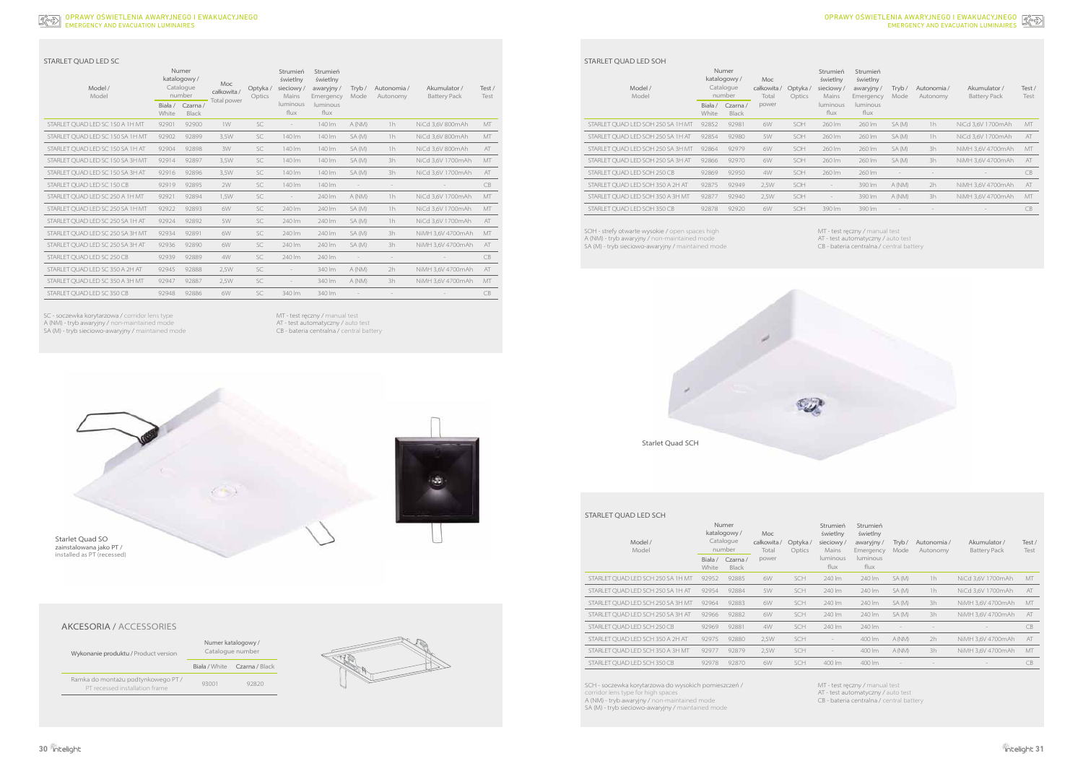#### EMERGENCY AND EVACUATION LUMINAIRES OPRAWY OŚWIETLENIA AWARYJNEGO I EWAKUACYJNEGO

| Model /<br>Model                 |                                              | Numer<br>katalogowy/<br>Catalogue<br>number | <b>Moc</b><br>całkowita / | Optyka/<br>Optics | Strumień<br>świetlny<br>sieciowy/<br>Mains | Strumień<br>świetlny<br>awaryjny/<br>Emergency | Tryb/<br>Mode            | Autonomia /<br>Autonomy | Akumulator /<br><b>Battery Pack</b> | Test/<br>Test |
|----------------------------------|----------------------------------------------|---------------------------------------------|---------------------------|-------------------|--------------------------------------------|------------------------------------------------|--------------------------|-------------------------|-------------------------------------|---------------|
|                                  | Biała /<br>Czarna /<br>White<br><b>Black</b> |                                             | <b>Total power</b>        |                   | luminous<br>flux                           | luminous<br>flux                               |                          |                         |                                     |               |
| STARLET QUAD LED SC 150 A 1H MT  | 92901                                        | 92900                                       | 1W                        | SC                | $\overline{\phantom{a}}$                   | 140 lm                                         | A (NM)                   | 1h                      | NiCd 3,6V 800mAh                    | MT            |
| STARLET OUAD LED SC 150 SA 1H MT | 92902                                        | 92899                                       | 3.5W                      | <b>SC</b>         | 140 lm                                     | 140 lm                                         | SA (M)                   | 1h                      | NiCd 3,6V 800mAh                    | MT            |
| STARLET OUAD LED SC 150 SA 1H AT | 92904                                        | 92898                                       | 3W                        | SC                | 140 lm                                     | 140 lm                                         | SA(M)                    | 1h                      | NiCd 3,6V 800mAh                    | AT            |
| STARLET OUAD LED SC 150 SA 3H MT | 92914                                        | 92897                                       | 3.5W                      | <b>SC</b>         | 140 lm                                     | 140 lm                                         | SA (M)                   | 3h                      | NiCd 3.6V 1700mAh                   | MT            |
| STARLET OUAD LED SC 150 SA 3H AT | 92916                                        | 92896                                       | 3,5W                      | SC                | 140 lm                                     | 140 lm                                         | SA (M)                   | 3h                      | NiCd 3,6V 1700mAh                   | AT            |
| STARLET OUAD LED SC 150 CB       | 92919                                        | 92895                                       | 2W                        | <b>SC</b>         | 140 lm                                     | 140 lm                                         |                          |                         |                                     | CB            |
| STARLET OUAD LED SC 250 A 1H MT  | 92921                                        | 92894                                       | 1.5W                      | SC                |                                            | 240 lm                                         | A (NM)                   | 1h                      | NiCd 3.6V 1700mAh                   | MT            |
| STARLET OUAD LED SC 250 SA 1H MT | 92922                                        | 92893                                       | 6W                        | SC                | 240 lm                                     | 240 lm                                         | SA (M)                   | 1h                      | NiCd 3.6V 1700mAh                   | MT            |
| STARLET OUAD LED SC 250 SA 1H AT | 92924                                        | 92892                                       | 5W                        | SC                | 240 lm                                     | 240 lm                                         | SA (M)                   | 1h                      | NiCd 3,6V 1700mAh                   | AT            |
| STARLET OUAD LED SC 250 SA 3H MT | 92934                                        | 92891                                       | 6W                        | SC                | 240 lm                                     | 240 lm                                         | SA (M)                   | 3h                      | NiMH 3,6V 4700mAh                   | MT            |
| STARLET OUAD LED SC 250 SA 3H AT | 92936                                        | 92890                                       | 6W                        | SC                | 240 lm                                     | 240 lm                                         | SA (M)                   | 3h                      | NiMH 3,6V 4700mAh                   | AT            |
| STARLET QUAD LED SC 250 CB       | 92939                                        | 92889                                       | 4W                        | <b>SC</b>         | 240 lm                                     | 240 lm                                         | $\overline{\phantom{a}}$ | $\qquad \qquad -$       |                                     | <b>CB</b>     |
| STARLET QUAD LED SC 350 A 2H AT  | 92945                                        | 92888                                       | 2,5W                      | SC                | $\overline{\phantom{a}}$                   | 340 lm                                         | A (NM)                   | 2h                      | NiMH 3,6V 4700mAh                   | AT            |
| STARLET OUAD LED SC 350 A 3H MT  | 92947                                        | 92887                                       | 2,5W                      | SC                | $\overline{\phantom{a}}$                   | 340 lm                                         | A (NM)                   | 3h                      | NiMH 3,6V 4700mAh                   | MT            |
| STARLET OUAD LED SC 350 CB       | 92948                                        | 92886                                       | 6W                        | SC                | 340 lm                                     | 340 lm                                         |                          |                         |                                     | <b>CB</b>     |

## STARLET QUAD LED SC

SC - soczewka korytarzowa / corridor lens type A (NM) - tryb awaryjny / non-maintained mode SA (M) - tryb sieciowo-awaryjny / maintained mode MT - test ręczny / manual test AT - test automatyczny / auto test CB - bateria centralna / central battery

Starlet Quad SO zainstalowana jako PT / installed as PT (recessed)







# AKCESORIA / ACCESSORIES

| Model /<br>Model                  | <b>Numer</b><br>katalogowy/<br>Catalogue<br>number |                         | <b>Moc</b><br>całkowita /<br>Total | Optyka/<br>Optics | Strumień<br>świetlny<br>sieciowy/<br>Mains | Strumień<br>świetlny<br>awaryjny/<br>Emergency | Tryb/<br>Mode | Autonomia/<br>Autonomy | Akumulator /<br><b>Battery Pack</b> | Test/<br>Test |
|-----------------------------------|----------------------------------------------------|-------------------------|------------------------------------|-------------------|--------------------------------------------|------------------------------------------------|---------------|------------------------|-------------------------------------|---------------|
|                                   | Biała /<br>White                                   | Czarna/<br><b>Black</b> | power                              |                   | luminous<br>flux                           | luminous<br>flux                               |               |                        |                                     |               |
| STARLET QUAD LED SOH 250 SA 1H MT | 92852                                              | 92981                   | 6W                                 | SOH               | 260 lm                                     | 260 lm                                         | SA (M)        | 1 <sub>h</sub>         | NiCd 3,6V 1700mAh                   | MT            |
| STARLET OUAD LED SOH 250 SA 1H AT | 92854                                              | 92980                   | 5W                                 | SOH               | 260 lm                                     | 260 lm                                         | SA (M)        | 1 <sub>h</sub>         | NiCd 3,6V 1700mAh                   | AT            |
| STARLET OUAD LED SOH 250 SA 3H MT | 92864                                              | 92979                   | 6W                                 | SOH               | 260 lm                                     | 260 lm                                         | SA (M)        | 3h                     | NiMH 3.6V 4700mAh                   | MT            |
| STARLET QUAD LED SOH 250 SA 3H AT | 92866                                              | 92970                   | 6W                                 | SOH               | 260 lm                                     | 260 lm                                         | SA(M)         | 3h                     | NiMH 3,6V 4700mAh                   | AT            |
| STARLET OUAD LED SOH 250 CB       | 92869                                              | 92950                   | 4W                                 | SOH               | 260 lm                                     | 260 lm                                         |               |                        |                                     | CB            |
| STARLET OUAD LED SOH 350 A 2H AT  | 92875                                              | 92949                   | 2,5W                               | SOH               | $\qquad \qquad =$                          | 390 lm                                         | A (NM)        | 2h                     | NiMH 3,6V 4700mAh                   | AT            |
| STARLET OUAD LED SOH 350 A 3H MT  | 92877                                              | 92940                   | 2,5W                               | SOH               | $\overline{\phantom{a}}$                   | 390 lm                                         | A(NM)         | 3h                     | NiMH 3,6V 4700mAh                   | MT            |
| STARLET QUAD LED SOH 350 CB       | 92878                                              | 92920                   | 6W                                 | SOH               | 390 lm                                     | 390 lm                                         |               |                        |                                     | CB            |
|                                   |                                                    |                         |                                    |                   |                                            |                                                |               |                        |                                     |               |

| Model /<br>Model                  |                  | <b>Numer</b><br>katalogowy/<br>Catalogue<br>number | <b>Moc</b><br>całkowita /<br>Total | Optyka/<br>Optics | Strumień<br>świetlny<br>sieciowy/<br><b>Mains</b> | Strumień<br>świetlny<br>awaryjny/<br>Emergency | Tryb/<br><b>Mode</b> | Autonomia /<br>Autonomy | Akumulator /<br><b>Battery Pack</b> | Test/<br>Test |
|-----------------------------------|------------------|----------------------------------------------------|------------------------------------|-------------------|---------------------------------------------------|------------------------------------------------|----------------------|-------------------------|-------------------------------------|---------------|
|                                   | Biała /<br>White | Czarna/<br><b>Black</b>                            | power                              |                   | luminous<br>flux                                  | luminous<br>flux                               |                      |                         |                                     |               |
| STARLET OUAD LED SCH 250 SA 1H MT | 92952            | 92885                                              | 6W                                 | SCH               | 240 lm                                            | 240 lm                                         | SA(M)                | 1h                      | NiCd 3.6V 1700mAh                   | MT            |
| STARLET QUAD LED SCH 250 SA 1H AT | 92954            | 92884                                              | 5W                                 | SCH               | 240 lm                                            | 240 lm                                         | SA(M)                | 1 <sub>h</sub>          | NiCd 3,6V 1700mAh                   | AT            |
| STARLET OUAD LED SCH 250 SA 3H MT | 92964            | 92883                                              | 6W                                 | SCH               | 240 lm                                            | 240 lm                                         | SA(M)                | 3h                      | NiMH 3.6V 4700mAh                   | MT            |
| STARLET QUAD LED SCH 250 SA 3H AT | 92966            | 92882                                              | 6W                                 | SCH               | 240 lm                                            | 240 lm                                         | SA(M)                | 3h                      | NiMH 3,6V 4700mAh                   | AT            |
| STARLET OUAD LED SCH 250 CB       | 92969            | 92881                                              | 4W                                 | SCH               | 240 lm                                            | 240 lm                                         |                      |                         |                                     | <b>CB</b>     |
| STARLET QUAD LED SCH 350 A 2H AT  | 92975            | 92880                                              | 2,5W                               | SCH               | $\hspace{0.1mm}-\hspace{0.1mm}$                   | 400 lm                                         | A(NM)                | 2h                      | NiMH 3,6V 4700mAh                   | AT            |
| STARLET OUAD LED SCH 350 A 3H MT  | 92977            | 92879                                              | 2,5W                               | SCH               | $\hspace{1.0cm} - \hspace{1.0cm}$                 | 400 lm                                         | A (NM)               | 3h                      | NiMH 3.6V 4700mAh                   | MT            |
| STARLET OUAD LED SCH 350 CB       | 92978            | 92870                                              | 6W                                 | SCH               | 400 lm                                            | 400 lm                                         |                      |                         |                                     | <b>CB</b>     |
|                                   |                  |                                                    |                                    |                   |                                                   |                                                |                      |                         |                                     |               |

### STARLET QUAD LED SOH

### STARLET QUAD LED SCH

SOH - strefy otwarte wysokie / open spaces high A (NM) - tryb awaryjny / non-maintained mode SA (M) - tryb sieciowo-awaryjny / maintained mode MT - test ręczny / manual test

AT - test automatyczny / auto test

CB - bateria centralna / central battery

SCH - soczewka korytarzowa do wysokich pomieszczeń / corridor lens type for high spaces A (NM) - tryb awaryjny / non-maintained mode SA (M) - tryb sieciowo-awaryjny / maintained mode

MT - test ręczny / manual test

AT - test automatyczny / auto test

CB - bateria centralna / central battery